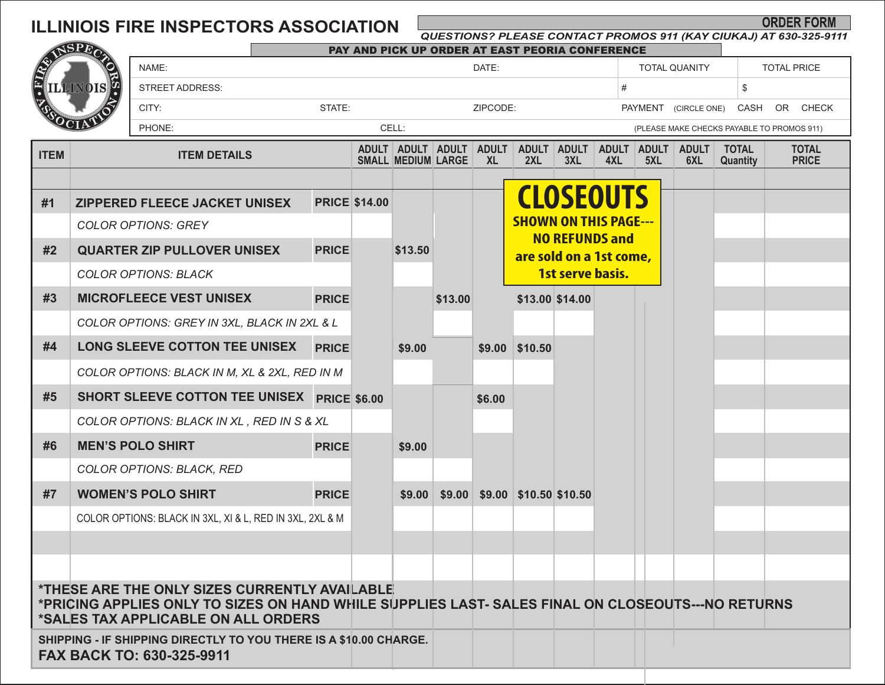## **ILLINIOIS FIRE INSPECTORS ASSOCIATION**

## *QUESTIONS? PLEASE CONTACT PROMOS 911 (KAY CIUKAJ) AT 630-325-9111*

**ORDER FORM** 

| MSPEO                                                                                          |                                                                                                                                                                                           |                                                          |          | PAY AND PICK UP ORDER AT EAST PEORIA CONFERENCE |                      |                                                |                  |                           |                                                       |                 |              |                            |                     |                                            |                              |  |  |
|------------------------------------------------------------------------------------------------|-------------------------------------------------------------------------------------------------------------------------------------------------------------------------------------------|----------------------------------------------------------|----------|-------------------------------------------------|----------------------|------------------------------------------------|------------------|---------------------------|-------------------------------------------------------|-----------------|--------------|----------------------------|---------------------|--------------------------------------------|------------------------------|--|--|
|                                                                                                |                                                                                                                                                                                           | NAME:                                                    |          |                                                 |                      | DATE:                                          |                  |                           |                                                       |                 |              | <b>TOTAL QUANITY</b>       |                     |                                            | <b>TOTAL PRICE</b>           |  |  |
| E                                                                                              | <b>ILLINOIS</b>                                                                                                                                                                           | <b>STREET ADDRESS:</b>                                   |          |                                                 |                      |                                                |                  | #                         |                                                       |                 |              |                            |                     |                                            |                              |  |  |
|                                                                                                |                                                                                                                                                                                           | CITY:                                                    | ZIPCODE: |                                                 |                      |                                                |                  |                           | PAYMENT<br>(CIRCLE ONE)                               |                 |              | CASH<br>OR<br><b>CHECK</b> |                     |                                            |                              |  |  |
|                                                                                                | PHONE:                                                                                                                                                                                    |                                                          |          |                                                 | CELL:                |                                                |                  |                           |                                                       |                 |              |                            |                     | (PLEASE MAKE CHECKS PAYABLE TO PROMOS 911) |                              |  |  |
| <b>ITEM</b>                                                                                    | <b>ITEM DETAILS</b>                                                                                                                                                                       |                                                          |          |                                                 |                      | ADULT ADULT ADULT<br><b>SMALL MEDIUM LARGE</b> |                  | <b>ADULT</b><br><b>XL</b> | ADULT ADULT<br>2XL                                    | 3XL             | ADULT<br>4XL | <b>ADULT</b><br>5XL        | <b>ADULT</b><br>6XL | <b>TOTAL</b><br>Quantity                   | <b>TOTAL</b><br><b>PRICE</b> |  |  |
|                                                                                                |                                                                                                                                                                                           |                                                          |          |                                                 |                      |                                                |                  |                           |                                                       |                 |              |                            |                     |                                            |                              |  |  |
| #1                                                                                             | ZIPPERED FLEECE JACKET UNISEX                                                                                                                                                             |                                                          |          |                                                 | <b>PRICE \$14.00</b> |                                                |                  |                           | <b>CLOSEOUTS</b>                                      |                 |              |                            |                     |                                            |                              |  |  |
|                                                                                                | <b>COLOR OPTIONS: GREY</b>                                                                                                                                                                |                                                          |          |                                                 |                      |                                                |                  |                           | <b>SHOWN ON THIS PAGE---</b><br><b>NO REFUNDS and</b> |                 |              |                            |                     |                                            |                              |  |  |
| #2                                                                                             | <b>QUARTER ZIP PULLOVER UNISEX</b>                                                                                                                                                        |                                                          |          | <b>PRICE</b>                                    |                      | \$13.50                                        |                  |                           | are sold on a 1st come,<br>1st serve basis.           |                 |              |                            |                     |                                            |                              |  |  |
|                                                                                                | <b>COLOR OPTIONS: BLACK</b>                                                                                                                                                               |                                                          |          |                                                 |                      |                                                |                  |                           |                                                       |                 |              |                            |                     |                                            |                              |  |  |
| #3                                                                                             |                                                                                                                                                                                           | <b>MICROFLEECE VEST UNISEX</b>                           |          | <b>PRICE</b>                                    |                      |                                                | \$13.00          |                           |                                                       | \$13.00 \$14.00 |              |                            |                     |                                            |                              |  |  |
|                                                                                                |                                                                                                                                                                                           | COLOR OPTIONS: GREY IN 3XL, BLACK IN 2XL & L             |          |                                                 |                      |                                                |                  |                           |                                                       |                 |              |                            |                     |                                            |                              |  |  |
| #4                                                                                             |                                                                                                                                                                                           | LONG SLEEVE COTTON TEE UNISEX                            |          | <b>PRICE</b>                                    |                      | \$9.00                                         |                  |                           | \$9.00 \$10.50                                        |                 |              |                            |                     |                                            |                              |  |  |
|                                                                                                | COLOR OPTIONS: BLACK IN M, XL & 2XL, RED IN M                                                                                                                                             |                                                          |          |                                                 |                      |                                                |                  |                           |                                                       |                 |              |                            |                     |                                            |                              |  |  |
| #5                                                                                             |                                                                                                                                                                                           | SHORT SLEEVE COTTON TEE UNISEX PRICE \$6.00              |          |                                                 |                      |                                                |                  | \$6.00                    |                                                       |                 |              |                            |                     |                                            |                              |  |  |
|                                                                                                | COLOR OPTIONS: BLACK IN XL, RED IN S & XL                                                                                                                                                 |                                                          |          |                                                 |                      |                                                |                  |                           |                                                       |                 |              |                            |                     |                                            |                              |  |  |
| #6                                                                                             |                                                                                                                                                                                           | <b>MEN'S POLO SHIRT</b>                                  |          | <b>PRICE</b>                                    |                      | \$9.00                                         |                  |                           |                                                       |                 |              |                            |                     |                                            |                              |  |  |
|                                                                                                |                                                                                                                                                                                           | <b>COLOR OPTIONS: BLACK, RED</b>                         |          |                                                 |                      |                                                |                  |                           |                                                       |                 |              |                            |                     |                                            |                              |  |  |
| #7                                                                                             |                                                                                                                                                                                           | <b>WOMEN'S POLO SHIRT</b>                                |          | <b>PRICE</b>                                    |                      |                                                | $$9.00 \; $9.00$ |                           | $$9.00$ $$10.50$ \$10.50                              |                 |              |                            |                     |                                            |                              |  |  |
|                                                                                                |                                                                                                                                                                                           | COLOR OPTIONS: BLACK IN 3XL, XI & L, RED IN 3XL, 2XL & M |          |                                                 |                      |                                                |                  |                           |                                                       |                 |              |                            |                     |                                            |                              |  |  |
|                                                                                                |                                                                                                                                                                                           |                                                          |          |                                                 |                      |                                                |                  |                           |                                                       |                 |              |                            |                     |                                            |                              |  |  |
|                                                                                                |                                                                                                                                                                                           |                                                          |          |                                                 |                      |                                                |                  |                           |                                                       |                 |              |                            |                     |                                            |                              |  |  |
|                                                                                                | *THESE ARE THE ONLY SIZES CURRENTLY AVAILABLE<br>*PRICING APPLIES ONLY TO SIZES ON HAND WHILE SUPPLIES LAST- SALES FINAL ON CLOSEOUTS---NO RETURNS<br>*SALES TAX APPLICABLE ON ALL ORDERS |                                                          |          |                                                 |                      |                                                |                  |                           |                                                       |                 |              |                            |                     |                                            |                              |  |  |
| SHIPPING - IF SHIPPING DIRECTLY TO YOU THERE IS A \$10.00 CHARGE.<br>FAX BACK TO: 630-325-9911 |                                                                                                                                                                                           |                                                          |          |                                                 |                      |                                                |                  |                           |                                                       |                 |              |                            |                     |                                            |                              |  |  |